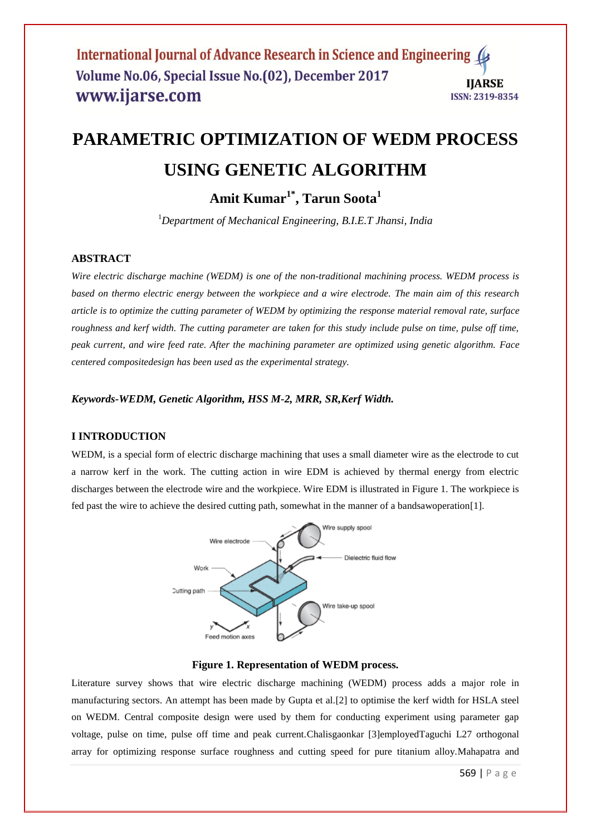#### International Journal of Advance Research in Science and Engineering 4 Volume No.06, Special Issue No.(02), December 2017 **IIARSE** www.ijarse.com ISSN: 2319-8354

# **PARAMETRIC OPTIMIZATION OF WEDM PROCESS USING GENETIC ALGORITHM**

**Amit Kumar1\* , Tarun Soota<sup>1</sup>**

<sup>1</sup>*Department of Mechanical Engineering, B.I.E.T Jhansi, India*

# **ABSTRACT**

*Wire electric discharge machine (WEDM) is one of the non-traditional machining process. WEDM process is based on thermo electric energy between the workpiece and a wire electrode. The main aim of this research article is to optimize the cutting parameter of WEDM by optimizing the response material removal rate, surface roughness and kerf width. The cutting parameter are taken for this study include pulse on time, pulse off time, peak current, and wire feed rate. After the machining parameter are optimized using genetic algorithm. Face centered compositedesign has been used as the experimental strategy.*

*Keywords-WEDM, Genetic Algorithm, HSS M-2, MRR, SR,Kerf Width.*

# **I INTRODUCTION**

WEDM, is a special form of electric discharge machining that uses a small diameter wire as the electrode to cut a narrow kerf in the work. The cutting action in wire EDM is achieved by thermal energy from electric discharges between the electrode wire and the workpiece. Wire EDM is illustrated in Figure 1. The workpiece is fed past the wire to achieve the desired cutting path, somewhat in the manner of a bandsawoperation[1].



#### **Figure 1. Representation of WEDM process.**

Literature survey shows that wire electric discharge machining (WEDM) process adds a major role in manufacturing sectors. An attempt has been made by Gupta et al.[2] to optimise the kerf width for HSLA steel on WEDM. Central composite design were used by them for conducting experiment using parameter gap voltage, pulse on time, pulse off time and peak current.Chalisgaonkar [3]employedTaguchi L27 orthogonal array for optimizing response surface roughness and cutting speed for pure titanium alloy.Mahapatra and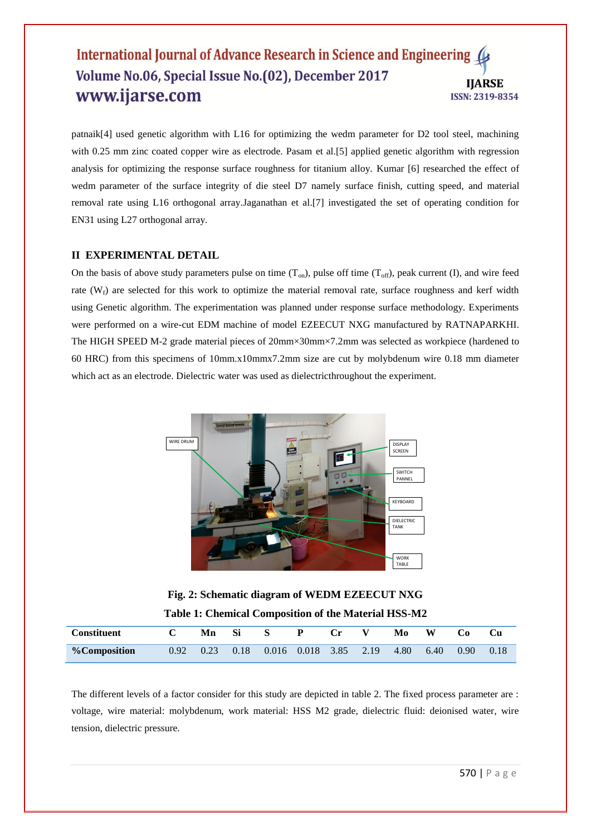# International Journal of Advance Research in Science and Engineering Volume No.06, Special Issue No.(02), December 2017 **IIARSE** www.ijarse.com ISSN: 2319-8354

patnaik[4] used genetic algorithm with L16 for optimizing the wedm parameter for D2 tool steel, machining with 0.25 mm zinc coated copper wire as electrode. Pasam et al. [5] applied genetic algorithm with regression analysis for optimizing the response surface roughness for titanium alloy. Kumar [6] researched the effect of wedm parameter of the surface integrity of die steel D7 namely surface finish, cutting speed, and material removal rate using L16 orthogonal array.Jaganathan et al.[7] investigated the set of operating condition for EN31 using L27 orthogonal array.

## **II EXPERIMENTAL DETAIL**

On the basis of above study parameters pulse on time  $(T_{on})$ , pulse off time  $(T_{off})$ , peak current (I), and wire feed rate  $(W_f)$  are selected for this work to optimize the material removal rate, surface roughness and kerf width using Genetic algorithm. The experimentation was planned under response surface methodology. Experiments were performed on a wire-cut EDM machine of model EZEECUT NXG manufactured by RATNAPARKHI. The HIGH SPEED M-2 grade material pieces of 20mm×30mm×7.2mm was selected as workpiece (hardened to 60 HRC) from this specimens of 10mm.x10mmx7.2mm size are cut by molybdenum wire 0.18 mm diameter which act as an electrode. Dielectric water was used as dielectricthroughout the experiment.



**Fig. 2: Schematic diagram of WEDM EZEECUT NXG Table 1: Chemical Composition of the Material HSS-M2**

| <b>Constituent</b>  | Mn                   | -Si | S                     | P | Cr. | Mo        | W |                   |      |
|---------------------|----------------------|-----|-----------------------|---|-----|-----------|---|-------------------|------|
| <b>%Composition</b> | $0.92$ $0.23$ $0.18$ |     | 0.016 0.018 3.85 2.19 |   |     | 4.80 6.40 |   | 0.90 <sup>°</sup> | 0.18 |

The different levels of a factor consider for this study are depicted in table 2. The fixed process parameter are : voltage, wire material: molybdenum, work material: HSS M2 grade, dielectric fluid: deionised water, wire tension, dielectric pressure.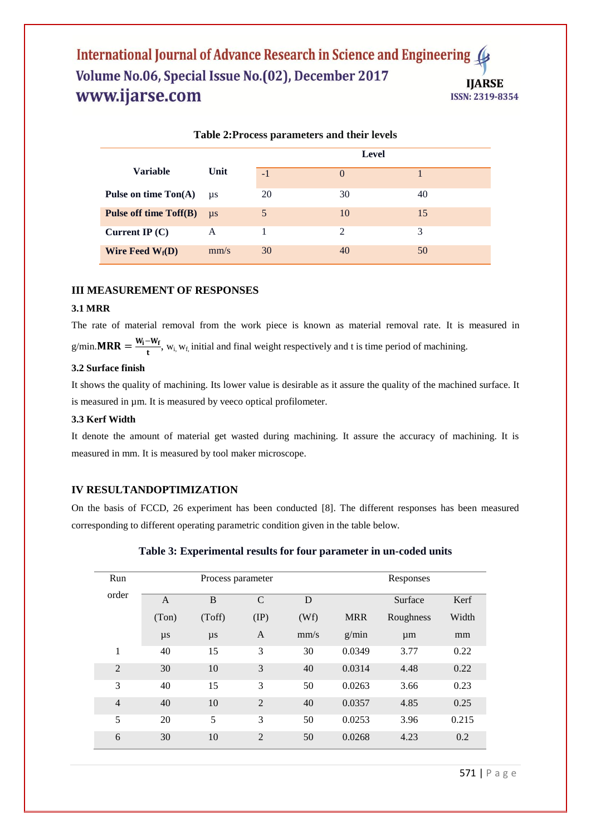# International Journal of Advance Research in Science and Engineering Volume No.06, Special Issue No.(02), December 2017 **IIARSE** www.ijarse.com ISSN: 2319-8354

| Table 2: Process parameters and their levels |         |              |          |    |  |  |  |
|----------------------------------------------|---------|--------------|----------|----|--|--|--|
|                                              |         | <b>Level</b> |          |    |  |  |  |
| <b>Variable</b>                              | Unit    | $-1$         | $\Omega$ |    |  |  |  |
| Pulse on time $\text{Ton}(A)$                | $\mu$ s | 20           | 30       | 40 |  |  |  |
| <b>Pulse off time Toff(B)</b>                | $\mu$ s | 5            | 10       | 15 |  |  |  |
| Current IP $(C)$                             | A       |              | 2        | 3  |  |  |  |
| Wire Feed $W_f(D)$                           | mm/s    | 30           | 40       | 50 |  |  |  |

#### **III MEASUREMENT OF RESPONSES**

# **3.1 MRR**

The rate of material removal from the work piece is known as material removal rate. It is measured in  $g/min.MRR = \frac{W_i - W_f}{L}$  $\frac{W_f}{t}$ ,  $W_i$ ,  $W_f$ , initial and final weight respectively and t is time period of machining.

#### **3.2 Surface finish**

It shows the quality of machining. Its lower value is desirable as it assure the quality of the machined surface. It is measured in µm. It is measured by veeco optical profilometer.

## **3.3 Kerf Width**

It denote the amount of material get wasted during machining. It assure the accuracy of machining. It is measured in mm. It is measured by tool maker microscope.

### **IV RESULTANDOPTIMIZATION**

On the basis of FCCD, 26 experiment has been conducted [8]. The different responses has been measured corresponding to different operating parametric condition given in the table below.

| Run            |                | Process parameter |                | Responses |            |           |       |
|----------------|----------------|-------------------|----------------|-----------|------------|-----------|-------|
| order          | $\overline{A}$ | B                 | $\mathcal{C}$  | D         |            | Surface   | Kerf  |
|                | (Ton)          | (Toff)            | $(\text{IP})$  | (Wf)      | <b>MRR</b> | Roughness | Width |
|                | $\mu s$        | $\mu s$           | A              | mm/s      | g/min      | $\mu$ m   | mm    |
| 1              | 40             | 15                | 3              | 30        | 0.0349     | 3.77      | 0.22  |
| $\overline{2}$ | 30             | 10                | 3              | 40        | 0.0314     | 4.48      | 0.22  |
| 3              | 40             | 15                | 3              | 50        | 0.0263     | 3.66      | 0.23  |
| $\overline{4}$ | 40             | 10                | $\overline{2}$ | 40        | 0.0357     | 4.85      | 0.25  |
| 5              | 20             | 5                 | 3              | 50        | 0.0253     | 3.96      | 0.215 |
| 6              | 30             | 10                | $\overline{2}$ | 50        | 0.0268     | 4.23      | 0.2   |

| Table 3: Experimental results for four parameter in un-coded units |  |  |  |
|--------------------------------------------------------------------|--|--|--|
|--------------------------------------------------------------------|--|--|--|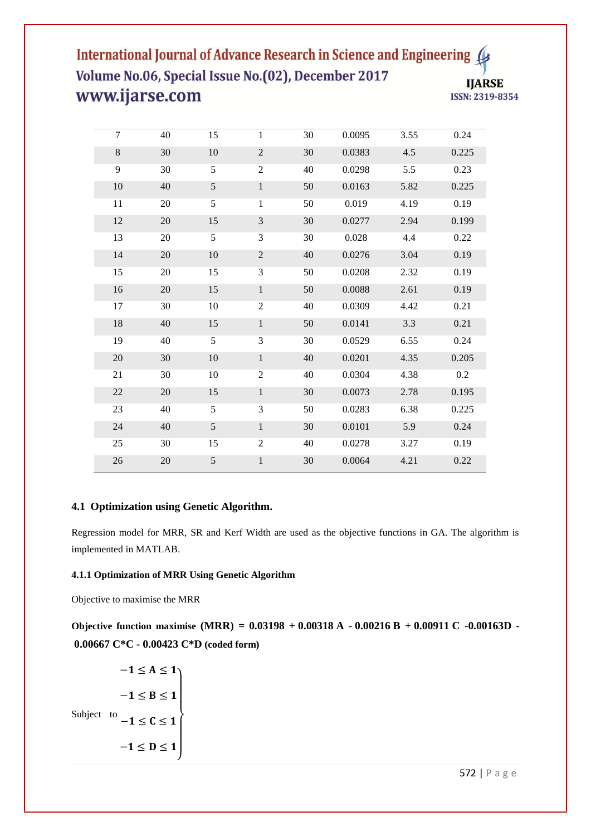# International Journal of Advance Research in Science and Engineering Volume No.06, Special Issue No.(02), December 2017 **IJARSE** www.ijarse.com ISSN: 2319-8354

| $\overline{7}$ | 40     | 15         | $\mathbf{1}$     | 30     | 0.0095 | 3.55 | 0.24    |
|----------------|--------|------------|------------------|--------|--------|------|---------|
| 8              | 30     | 10         | $\overline{2}$   | 30     | 0.0383 | 4.5  | 0.225   |
| 9              | 30     | 5          | $\boldsymbol{2}$ | 40     | 0.0298 | 5.5  | 0.23    |
| 10             | 40     | $\sqrt{5}$ | $\mathbf{1}$     | $50\,$ | 0.0163 | 5.82 | 0.225   |
| 11             | 20     | 5          | $\mathbf{1}$     | 50     | 0.019  | 4.19 | 0.19    |
| $12\,$         | $20\,$ | 15         | 3                | 30     | 0.0277 | 2.94 | 0.199   |
| 13             | 20     | 5          | 3                | 30     | 0.028  | 4.4  | 0.22    |
| 14             | $20\,$ | 10         | $\sqrt{2}$       | 40     | 0.0276 | 3.04 | 0.19    |
| 15             | 20     | 15         | 3                | 50     | 0.0208 | 2.32 | 0.19    |
| 16             | 20     | 15         | $\mathbf{1}$     | 50     | 0.0088 | 2.61 | 0.19    |
| 17             | 30     | 10         | $\overline{c}$   | 40     | 0.0309 | 4.42 | 0.21    |
| 18             | 40     | 15         | $\,1\,$          | 50     | 0.0141 | 3.3  | 0.21    |
| 19             | 40     | 5          | $\overline{3}$   | 30     | 0.0529 | 6.55 | 0.24    |
| $20\,$         | 30     | $10\,$     | $\mathbf{1}$     | 40     | 0.0201 | 4.35 | 0.205   |
| 21             | 30     | 10         | $\overline{2}$   | 40     | 0.0304 | 4.38 | $0.2\,$ |
| $22\,$         | 20     | 15         | $\,1\,$          | 30     | 0.0073 | 2.78 | 0.195   |
| 23             | 40     | 5          | 3                | 50     | 0.0283 | 6.38 | 0.225   |
| 24             | 40     | 5          | $\mathbf{1}$     | 30     | 0.0101 | 5.9  | 0.24    |
| 25             | 30     | 15         | $\overline{c}$   | 40     | 0.0278 | 3.27 | 0.19    |
| 26             | 20     | $\sqrt{5}$ | $\mathbf{1}$     | 30     | 0.0064 | 4.21 | 0.22    |

# **4.1 Optimization using Genetic Algorithm.**

Regression model for MRR, SR and Kerf Width are used as the objective functions in GA. The algorithm is implemented in MATLAB.

# **4.1.1 Optimization of MRR Using Genetic Algorithm**

Objective to maximise the MRR

**Objective function maximise (MRR) = 0.03198 + 0.00318 A - 0.00216 B + 0.00911 C -0.00163D - 0.00667 C\*C - 0.00423 C\*D (coded form)**

Subject to  $-1 \leq C \leq 1$  $-1 \leq A \leq 1$  $-1 \leq B \leq 1$  $-1 \le D \le 1$ J  $\overline{1}$  $\overline{1}$  $\overline{1}$  $\mathbf{I}$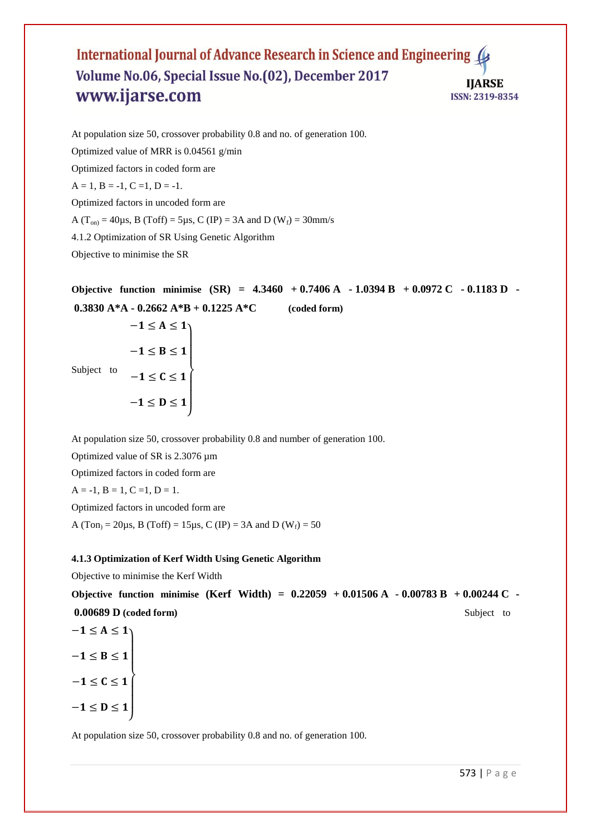#### International Journal of Advance Research in Science and Engineering 4 Volume No.06, Special Issue No.(02), December 2017 **IIARSE** www.ijarse.com ISSN: 2319-8354

At population size 50, crossover probability 0.8 and no. of generation 100. Optimized value of MRR is 0.04561 g/min Optimized factors in coded form are  $A = 1, B = -1, C = 1, D = -1.$ Optimized factors in uncoded form are A ( $T_{on}$ ) = 40 $\mu$ s, B (Toff) = 5 $\mu$ s, C (IP) = 3A and D (W<sub>f</sub>) = 30mm/s 4.1.2 Optimization of SR Using Genetic Algorithm Objective to minimise the SR

**Objective function minimise (SR) = 4.3460 + 0.7406 A - 1.0394 B + 0.0972 C - 0.1183 D - 0.3830 A\*A - 0.2662 A\*B + 0.1225 A\*C (coded form)**

Subject to  $-1 \leq A \leq 1$  $-1 \leq B \leq 1$  $-1 \leq C \leq 1$  $-1 \le D \le 1$ J  $\overline{1}$  $\overline{1}$  $\overline{1}$  $\mathbf{I}$ 

At population size 50, crossover probability 0.8 and number of generation 100. Optimized value of SR is 2.3076 µm

Optimized factors in coded form are

 $A = -1$ ,  $B = 1$ ,  $C = 1$ ,  $D = 1$ .

Optimized factors in uncoded form are

A (Ton<sub>)</sub> = 20 $\mu$ s, B (Toff) = 15 $\mu$ s, C (IP) = 3A and D (W<sub>f</sub>) = 50

## **4.1.3 Optimization of Kerf Width Using Genetic Algorithm**

Objective to minimise the Kerf Width

**Objective function minimise (Kerf Width) = 0.22059 + 0.01506 A - 0.00783 B + 0.00244 C - 0.00689 D (coded form)** Subject to

$$
-1 \le A \le 1
$$
  

$$
-1 \le B \le 1
$$
  

$$
-1 \le C \le 1
$$
  

$$
-1 \le D \le 1
$$

At population size 50, crossover probability 0.8 and no. of generation 100.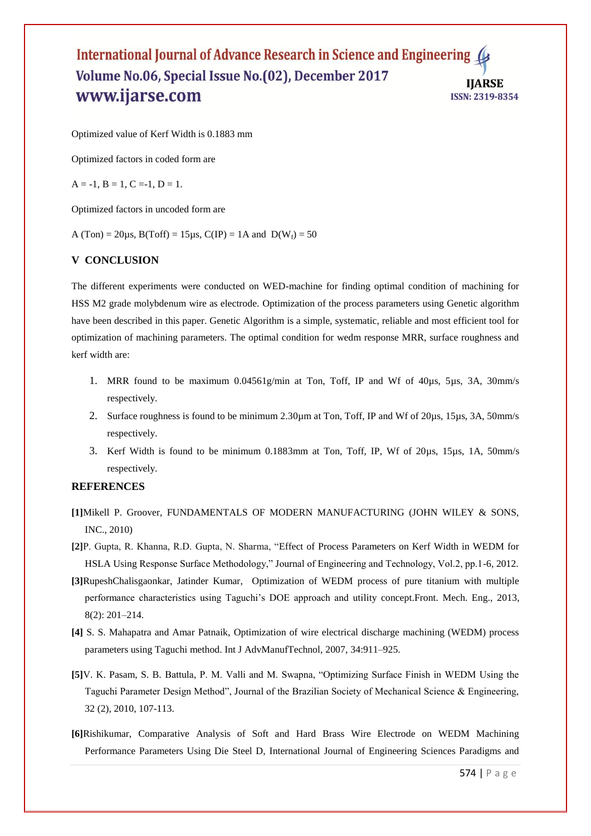### International Journal of Advance Research in Science and Engineering 4 Volume No.06, Special Issue No.(02), December 2017 **IIARSE** www.ijarse.com ISSN: 2319-8354

Optimized value of Kerf Width is 0.1883 mm

Optimized factors in coded form are

 $A = -1$ ,  $B = 1$ ,  $C = -1$ ,  $D = 1$ .

Optimized factors in uncoded form are

A (Ton) = 20 $\mu$ s, B(Toff) = 15 $\mu$ s, C(IP) = 1A and D(W<sub>f</sub>) = 50

#### **V CONCLUSION**

The different experiments were conducted on WED-machine for finding optimal condition of machining for HSS M2 grade molybdenum wire as electrode. Optimization of the process parameters using Genetic algorithm have been described in this paper. Genetic Algorithm is a simple, systematic, reliable and most efficient tool for optimization of machining parameters. The optimal condition for wedm response MRR, surface roughness and kerf width are:

- 1. MRR found to be maximum  $0.04561g/min$  at Ton, Toff, IP and Wf of  $40\mu s$ ,  $5\mu s$ ,  $3A$ ,  $30\mu m/s$ respectively.
- 2. Surface roughness is found to be minimum 2.30µm at Ton, Toff, IP and Wf of 20µs, 15µs, 3A, 50mm/s respectively.
- 3. Kerf Width is found to be minimum 0.1883mm at Ton, Toff, IP, Wf of 20µs, 15µs, 1A, 50mm/s respectively.

#### **REFERENCES**

- **[1]**Mikell P. Groover, FUNDAMENTALS OF MODERN MANUFACTURING (JOHN WILEY & SONS, INC., 2010)
- **[2]**P. Gupta, R. Khanna, R.D. Gupta, N. Sharma, "Effect of Process Parameters on Kerf Width in WEDM for HSLA Using Response Surface Methodology," Journal of Engineering and Technology, Vol.2, pp.1-6, 2012.
- **[3]**RupeshChalisgaonkar, Jatinder Kumar, Optimization of WEDM process of pure titanium with multiple performance characteristics using Taguchi's DOE approach and utility concept.Front. Mech. Eng., 2013, 8(2): 201–214.
- **[4]** S. S. Mahapatra and Amar Patnaik, Optimization of wire electrical discharge machining (WEDM) process parameters using Taguchi method. Int J AdvManufTechnol, 2007, 34:911–925.
- **[5]**V. K. Pasam, S. B. Battula, P. M. Valli and M. Swapna, "Optimizing Surface Finish in WEDM Using the Taguchi Parameter Design Method", Journal of the Brazilian Society of Mechanical Science & Engineering, 32 (2), 2010, 107-113.
- **[6]**Rishikumar, Comparative Analysis of Soft and Hard Brass Wire Electrode on WEDM Machining Performance Parameters Using Die Steel D, International Journal of Engineering Sciences Paradigms and